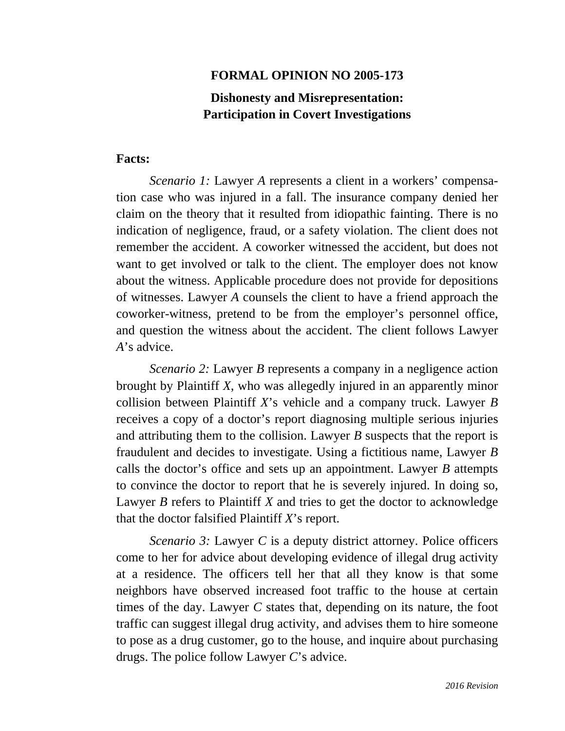# **FORMAL OPINION NO 2005-173**

# **Dishonesty and Misrepresentation: Participation in Covert Investigations**

#### **Facts:**

*Scenario 1:* Lawyer *A* represents a client in a workers' compensation case who was injured in a fall. The insurance company denied her claim on the theory that it resulted from idiopathic fainting. There is no indication of negligence, fraud, or a safety violation. The client does not remember the accident. A coworker witnessed the accident, but does not want to get involved or talk to the client. The employer does not know about the witness. Applicable procedure does not provide for depositions of witnesses. Lawyer *A* counsels the client to have a friend approach the coworker-witness, pretend to be from the employer's personnel office, and question the witness about the accident. The client follows Lawyer *A*'s advice.

*Scenario 2:* Lawyer *B* represents a company in a negligence action brought by Plaintiff *X*, who was allegedly injured in an apparently minor collision between Plaintiff *X*'s vehicle and a company truck. Lawyer *B*  receives a copy of a doctor's report diagnosing multiple serious injuries and attributing them to the collision. Lawyer *B* suspects that the report is fraudulent and decides to investigate. Using a fictitious name, Lawyer *B*  calls the doctor's office and sets up an appointment. Lawyer *B* attempts to convince the doctor to report that he is severely injured. In doing so, Lawyer *B* refers to Plaintiff *X* and tries to get the doctor to acknowledge that the doctor falsified Plaintiff *X*'s report.

*Scenario 3:* Lawyer *C* is a deputy district attorney. Police officers come to her for advice about developing evidence of illegal drug activity at a residence. The officers tell her that all they know is that some neighbors have observed increased foot traffic to the house at certain times of the day. Lawyer *C* states that, depending on its nature, the foot traffic can suggest illegal drug activity, and advises them to hire someone to pose as a drug customer, go to the house, and inquire about purchasing drugs. The police follow Lawyer *C*'s advice.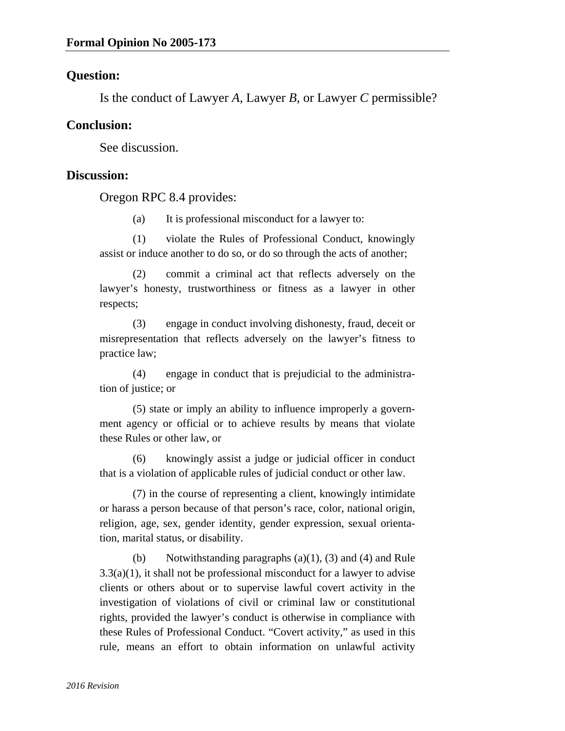## **Question:**

Is the conduct of Lawyer *A*, Lawyer *B*, or Lawyer *C* permissible?

## **Conclusion:**

See discussion.

#### **Discussion:**

Oregon RPC 8.4 provides:

(a) It is professional misconduct for a lawyer to:

 (1) violate the Rules of Professional Conduct, knowingly assist or induce another to do so, or do so through the acts of another;

 (2) commit a criminal act that reflects adversely on the lawyer's honesty, trustworthiness or fitness as a lawyer in other respects;

 (3) engage in conduct involving dishonesty, fraud, deceit or misrepresentation that reflects adversely on the lawyer's fitness to practice law;

 (4) engage in conduct that is prejudicial to the administration of justice; or

(5) state or imply an ability to influence improperly a government agency or official or to achieve results by means that violate these Rules or other law, or

 (6) knowingly assist a judge or judicial officer in conduct that is a violation of applicable rules of judicial conduct or other law.

(7) in the course of representing a client, knowingly intimidate or harass a person because of that person's race, color, national origin, religion, age, sex, gender identity, gender expression, sexual orientation, marital status, or disability.

 (b) Notwithstanding paragraphs (a)(1), (3) and (4) and Rule  $3.3(a)(1)$ , it shall not be professional misconduct for a lawyer to advise clients or others about or to supervise lawful covert activity in the investigation of violations of civil or criminal law or constitutional rights, provided the lawyer's conduct is otherwise in compliance with these Rules of Professional Conduct. "Covert activity," as used in this rule, means an effort to obtain information on unlawful activity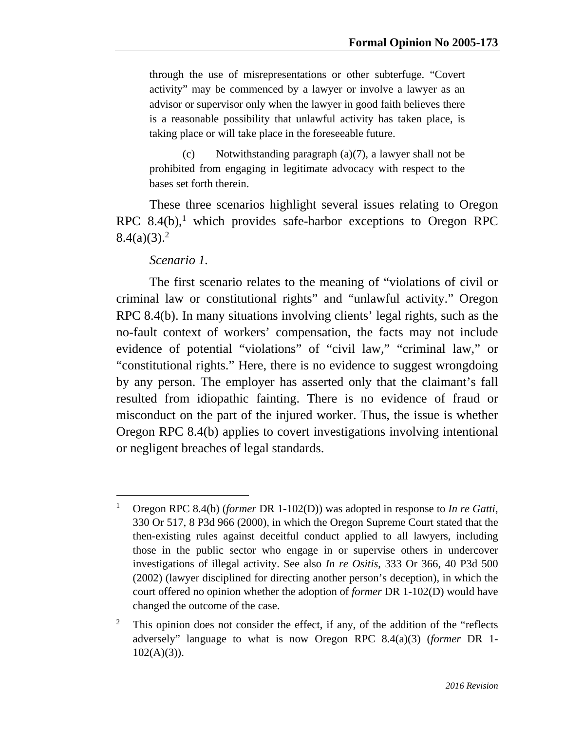through the use of misrepresentations or other subterfuge. "Covert activity" may be commenced by a lawyer or involve a lawyer as an advisor or supervisor only when the lawyer in good faith believes there is a reasonable possibility that unlawful activity has taken place, is taking place or will take place in the foreseeable future.

 (c) Notwithstanding paragraph (a)(7), a lawyer shall not be prohibited from engaging in legitimate advocacy with respect to the bases set forth therein.

These three scenarios highlight several issues relating to Oregon RPC 8.4 $(b)$ ,<sup>1</sup> which provides safe-harbor exceptions to Oregon RPC  $8.4(a)(3).^{2}$ 

#### *Scenario 1.*

-

The first scenario relates to the meaning of "violations of civil or criminal law or constitutional rights" and "unlawful activity." Oregon RPC 8.4(b). In many situations involving clients' legal rights, such as the no-fault context of workers' compensation, the facts may not include evidence of potential "violations" of "civil law," "criminal law," or "constitutional rights." Here, there is no evidence to suggest wrongdoing by any person. The employer has asserted only that the claimant's fall resulted from idiopathic fainting. There is no evidence of fraud or misconduct on the part of the injured worker. Thus, the issue is whether Oregon RPC 8.4(b) applies to covert investigations involving intentional or negligent breaches of legal standards.

<sup>1</sup> Oregon RPC 8.4(b) (*former* DR 1-102(D)) was adopted in response to *In re Gatti*, 330 Or 517, 8 P3d 966 (2000), in which the Oregon Supreme Court stated that the then-existing rules against deceitful conduct applied to all lawyers, including those in the public sector who engage in or supervise others in undercover investigations of illegal activity. See also *In re Ositis*, 333 Or 366, 40 P3d 500 (2002) (lawyer disciplined for directing another person's deception), in which the court offered no opinion whether the adoption of *former* DR 1-102(D) would have changed the outcome of the case.

<sup>2</sup> This opinion does not consider the effect, if any, of the addition of the "reflects adversely" language to what is now Oregon RPC 8.4(a)(3) (*former* DR 1-  $102(A)(3)$ ).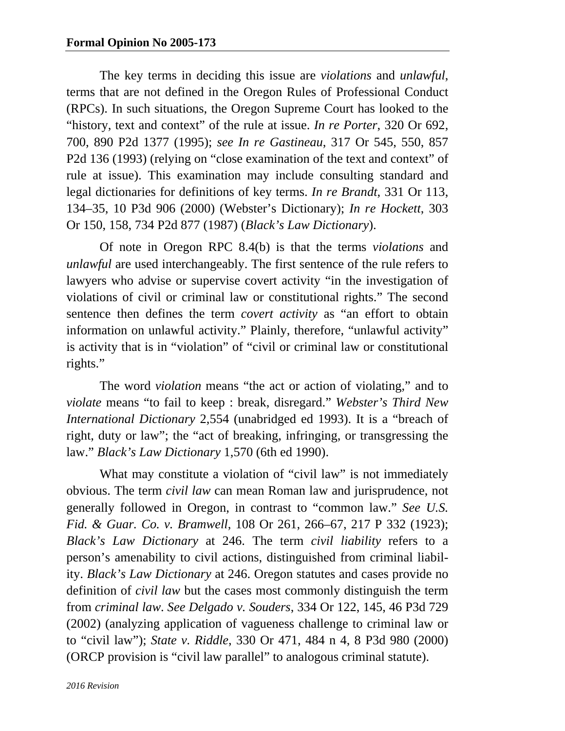The key terms in deciding this issue are *violations* and *unlawful*, terms that are not defined in the Oregon Rules of Professional Conduct (RPCs). In such situations, the Oregon Supreme Court has looked to the "history, text and context" of the rule at issue. *In re Porter*, 320 Or 692, 700, 890 P2d 1377 (1995); *see In re Gastineau*, 317 Or 545, 550, 857 P2d 136 (1993) (relying on "close examination of the text and context" of rule at issue). This examination may include consulting standard and legal dictionaries for definitions of key terms. *In re Brandt*, 331 Or 113, 134–35, 10 P3d 906 (2000) (Webster's Dictionary); *In re Hockett*, 303 Or 150, 158, 734 P2d 877 (1987) (*Black's Law Dictionary*).

Of note in Oregon RPC 8.4(b) is that the terms *violations* and *unlawful* are used interchangeably. The first sentence of the rule refers to lawyers who advise or supervise covert activity "in the investigation of violations of civil or criminal law or constitutional rights." The second sentence then defines the term *covert activity* as "an effort to obtain information on unlawful activity." Plainly, therefore, "unlawful activity" is activity that is in "violation" of "civil or criminal law or constitutional rights."

The word *violation* means "the act or action of violating," and to *violate* means "to fail to keep : break, disregard." *Webster's Third New International Dictionary* 2,554 (unabridged ed 1993). It is a "breach of right, duty or law"; the "act of breaking, infringing, or transgressing the law." *Black's Law Dictionary* 1,570 (6th ed 1990).

What may constitute a violation of "civil law" is not immediately obvious. The term *civil law* can mean Roman law and jurisprudence, not generally followed in Oregon, in contrast to "common law." *See U.S. Fid. & Guar. Co. v. Bramwell*, 108 Or 261, 266–67, 217 P 332 (1923); *Black's Law Dictionary* at 246. The term *civil liability* refers to a person's amenability to civil actions, distinguished from criminal liability. *Black's Law Dictionary* at 246. Oregon statutes and cases provide no definition of *civil law* but the cases most commonly distinguish the term from *criminal law*. *See Delgado v. Souders*, 334 Or 122, 145, 46 P3d 729 (2002) (analyzing application of vagueness challenge to criminal law or to "civil law"); *State v. Riddle*, 330 Or 471, 484 n 4, 8 P3d 980 (2000) (ORCP provision is "civil law parallel" to analogous criminal statute).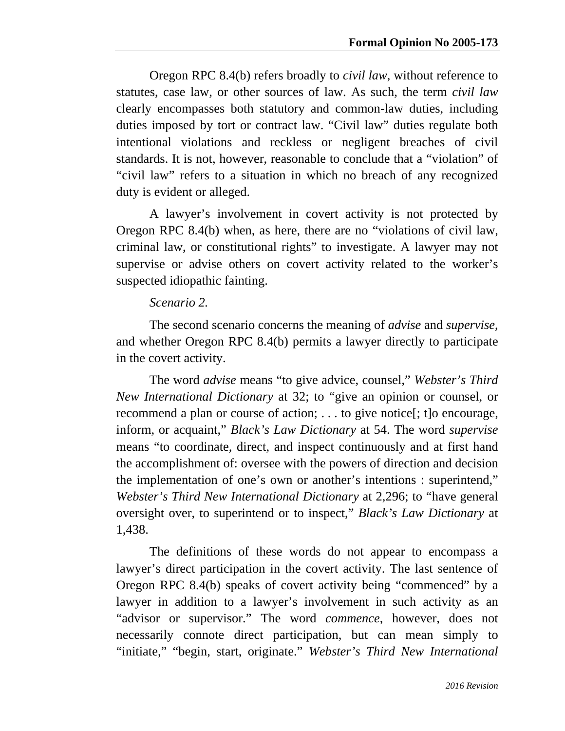Oregon RPC 8.4(b) refers broadly to *civil law*, without reference to statutes, case law, or other sources of law. As such, the term *civil law*  clearly encompasses both statutory and common-law duties, including duties imposed by tort or contract law. "Civil law" duties regulate both intentional violations and reckless or negligent breaches of civil standards. It is not, however, reasonable to conclude that a "violation" of "civil law" refers to a situation in which no breach of any recognized duty is evident or alleged.

A lawyer's involvement in covert activity is not protected by Oregon RPC 8.4(b) when, as here, there are no "violations of civil law, criminal law, or constitutional rights" to investigate. A lawyer may not supervise or advise others on covert activity related to the worker's suspected idiopathic fainting.

## *Scenario 2.*

The second scenario concerns the meaning of *advise* and *supervise*, and whether Oregon RPC 8.4(b) permits a lawyer directly to participate in the covert activity.

The word *advise* means "to give advice, counsel," *Webster's Third New International Dictionary* at 32; to "give an opinion or counsel, or recommend a plan or course of action; . . . to give notice[; t]o encourage, inform, or acquaint," *Black's Law Dictionary* at 54. The word *supervise*  means "to coordinate, direct, and inspect continuously and at first hand the accomplishment of: oversee with the powers of direction and decision the implementation of one's own or another's intentions : superintend," *Webster's Third New International Dictionary* at 2,296; to "have general oversight over, to superintend or to inspect," *Black's Law Dictionary* at 1,438.

The definitions of these words do not appear to encompass a lawyer's direct participation in the covert activity. The last sentence of Oregon RPC 8.4(b) speaks of covert activity being "commenced" by a lawyer in addition to a lawyer's involvement in such activity as an "advisor or supervisor." The word *commence*, however, does not necessarily connote direct participation, but can mean simply to "initiate," "begin, start, originate." *Webster's Third New International*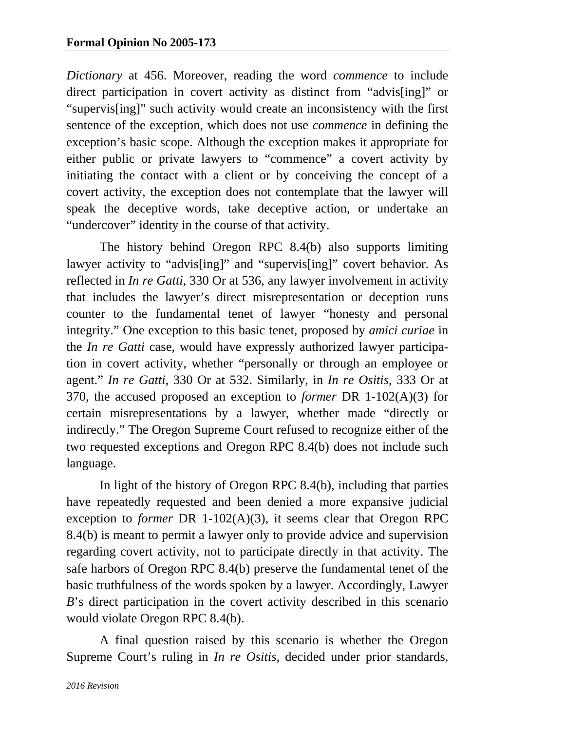*Dictionary* at 456. Moreover, reading the word *commence* to include direct participation in covert activity as distinct from "advis[ing]" or "supervis[ing]" such activity would create an inconsistency with the first sentence of the exception, which does not use *commence* in defining the exception's basic scope. Although the exception makes it appropriate for either public or private lawyers to "commence" a covert activity by initiating the contact with a client or by conceiving the concept of a covert activity, the exception does not contemplate that the lawyer will speak the deceptive words, take deceptive action, or undertake an "undercover" identity in the course of that activity.

The history behind Oregon RPC 8.4(b) also supports limiting lawyer activity to "advis[ing]" and "supervis[ing]" covert behavior. As reflected in *In re Gatti*, 330 Or at 536, any lawyer involvement in activity that includes the lawyer's direct misrepresentation or deception runs counter to the fundamental tenet of lawyer "honesty and personal integrity." One exception to this basic tenet, proposed by *amici curiae* in the *In re Gatti* case, would have expressly authorized lawyer participation in covert activity, whether "personally or through an employee or agent." *In re Gatti*, 330 Or at 532. Similarly, in *In re Ositis*, 333 Or at 370, the accused proposed an exception to *former* DR 1-102(A)(3) for certain misrepresentations by a lawyer, whether made "directly or indirectly." The Oregon Supreme Court refused to recognize either of the two requested exceptions and Oregon RPC 8.4(b) does not include such language.

In light of the history of Oregon RPC 8.4(b), including that parties have repeatedly requested and been denied a more expansive judicial exception to *former* DR 1-102(A)(3), it seems clear that Oregon RPC 8.4(b) is meant to permit a lawyer only to provide advice and supervision regarding covert activity, not to participate directly in that activity. The safe harbors of Oregon RPC 8.4(b) preserve the fundamental tenet of the basic truthfulness of the words spoken by a lawyer. Accordingly, Lawyer *B*'s direct participation in the covert activity described in this scenario would violate Oregon RPC 8.4(b).

A final question raised by this scenario is whether the Oregon Supreme Court's ruling in *In re Ositis*, decided under prior standards,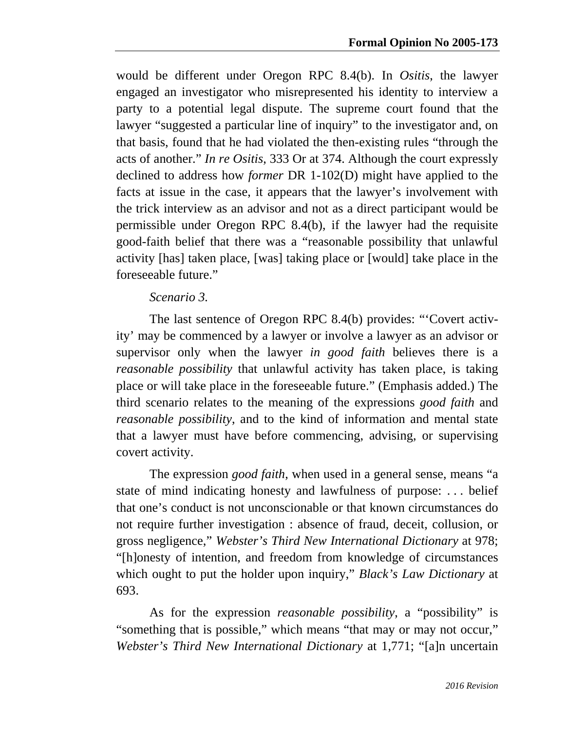would be different under Oregon RPC 8.4(b). In *Ositis*, the lawyer engaged an investigator who misrepresented his identity to interview a party to a potential legal dispute. The supreme court found that the lawyer "suggested a particular line of inquiry" to the investigator and, on that basis, found that he had violated the then-existing rules "through the acts of another." *In re Ositis*, 333 Or at 374. Although the court expressly declined to address how *former* DR 1-102(D) might have applied to the facts at issue in the case, it appears that the lawyer's involvement with the trick interview as an advisor and not as a direct participant would be permissible under Oregon RPC 8.4(b), if the lawyer had the requisite good-faith belief that there was a "reasonable possibility that unlawful activity [has] taken place, [was] taking place or [would] take place in the foreseeable future."

## *Scenario 3.*

The last sentence of Oregon RPC 8.4(b) provides: "'Covert activity' may be commenced by a lawyer or involve a lawyer as an advisor or supervisor only when the lawyer *in good faith* believes there is a *reasonable possibility* that unlawful activity has taken place, is taking place or will take place in the foreseeable future." (Emphasis added.) The third scenario relates to the meaning of the expressions *good faith* and *reasonable possibility*, and to the kind of information and mental state that a lawyer must have before commencing, advising, or supervising covert activity.

The expression *good faith*, when used in a general sense, means "a state of mind indicating honesty and lawfulness of purpose: . . . belief that one's conduct is not unconscionable or that known circumstances do not require further investigation : absence of fraud, deceit, collusion, or gross negligence," *Webster's Third New International Dictionary* at 978; "[h]onesty of intention, and freedom from knowledge of circumstances which ought to put the holder upon inquiry," *Black's Law Dictionary* at 693.

As for the expression *reasonable possibility*, a "possibility" is "something that is possible," which means "that may or may not occur," *Webster's Third New International Dictionary* at 1,771; "[a]n uncertain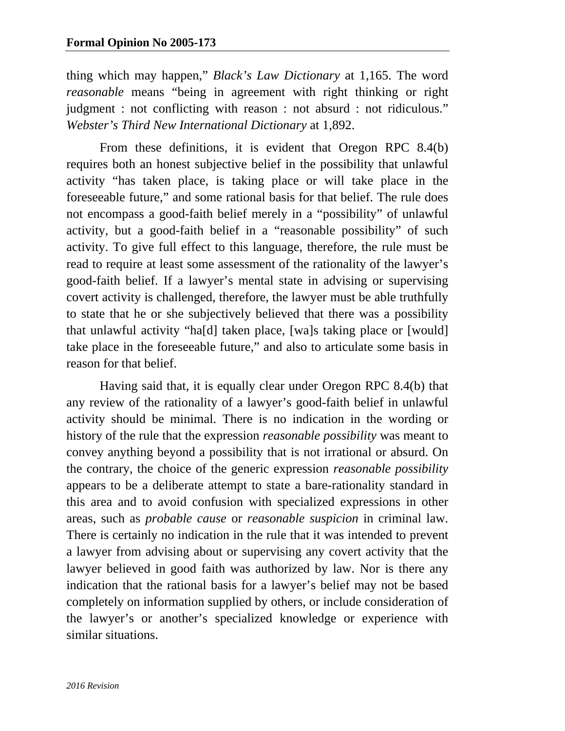thing which may happen," *Black's Law Dictionary* at 1,165. The word *reasonable* means "being in agreement with right thinking or right judgment : not conflicting with reason : not absurd : not ridiculous." *Webster's Third New International Dictionary* at 1,892.

From these definitions, it is evident that Oregon RPC 8.4(b) requires both an honest subjective belief in the possibility that unlawful activity "has taken place, is taking place or will take place in the foreseeable future," and some rational basis for that belief. The rule does not encompass a good-faith belief merely in a "possibility" of unlawful activity, but a good-faith belief in a "reasonable possibility" of such activity. To give full effect to this language, therefore, the rule must be read to require at least some assessment of the rationality of the lawyer's good-faith belief. If a lawyer's mental state in advising or supervising covert activity is challenged, therefore, the lawyer must be able truthfully to state that he or she subjectively believed that there was a possibility that unlawful activity "ha[d] taken place, [wa]s taking place or [would] take place in the foreseeable future," and also to articulate some basis in reason for that belief.

Having said that, it is equally clear under Oregon RPC 8.4(b) that any review of the rationality of a lawyer's good-faith belief in unlawful activity should be minimal. There is no indication in the wording or history of the rule that the expression *reasonable possibility* was meant to convey anything beyond a possibility that is not irrational or absurd. On the contrary, the choice of the generic expression *reasonable possibility*  appears to be a deliberate attempt to state a bare-rationality standard in this area and to avoid confusion with specialized expressions in other areas, such as *probable cause* or *reasonable suspicion* in criminal law. There is certainly no indication in the rule that it was intended to prevent a lawyer from advising about or supervising any covert activity that the lawyer believed in good faith was authorized by law. Nor is there any indication that the rational basis for a lawyer's belief may not be based completely on information supplied by others, or include consideration of the lawyer's or another's specialized knowledge or experience with similar situations.